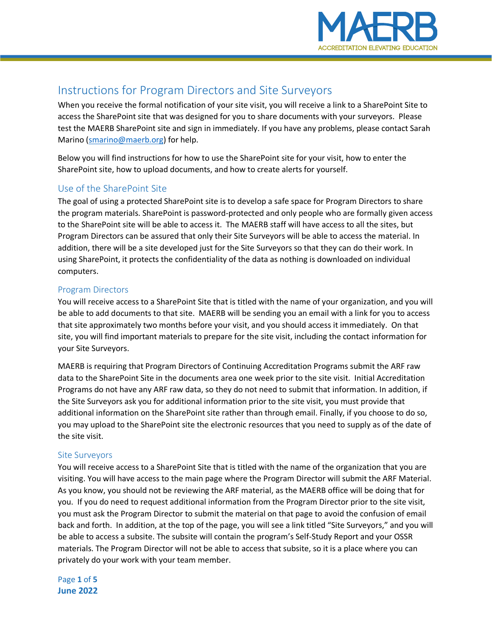

# Instructions for Program Directors and Site Surveyors

When you receive the formal notification of your site visit, you will receive a link to a SharePoint Site to access the SharePoint site that was designed for you to share documents with your surveyors. Please test the MAERB SharePoint site and sign in immediately. If you have any problems, please contact Sarah Marino [\(smarino@maerb.org\)](mailto:smarino@maerb.org) for help.

Below you will find instructions for how to use the SharePoint site for your visit, how to enter the SharePoint site, how to upload documents, and how to create alerts for yourself.

# Use of the SharePoint Site

The goal of using a protected SharePoint site is to develop a safe space for Program Directors to share the program materials. SharePoint is password-protected and only people who are formally given access to the SharePoint site will be able to access it. The MAERB staff will have access to all the sites, but Program Directors can be assured that only their Site Surveyors will be able to access the material. In addition, there will be a site developed just for the Site Surveyors so that they can do their work. In using SharePoint, it protects the confidentiality of the data as nothing is downloaded on individual computers.

## Program Directors

You will receive access to a SharePoint Site that is titled with the name of your organization, and you will be able to add documents to that site. MAERB will be sending you an email with a link for you to access that site approximately two months before your visit, and you should access it immediately. On that site, you will find important materials to prepare for the site visit, including the contact information for your Site Surveyors.

MAERB is requiring that Program Directors of Continuing Accreditation Programs submit the ARF raw data to the SharePoint Site in the documents area one week prior to the site visit. Initial Accreditation Programs do not have any ARF raw data, so they do not need to submit that information. In addition, if the Site Surveyors ask you for additional information prior to the site visit, you must provide that additional information on the SharePoint site rather than through email. Finally, if you choose to do so, you may upload to the SharePoint site the electronic resources that you need to supply as of the date of the site visit.

#### Site Surveyors

You will receive access to a SharePoint Site that is titled with the name of the organization that you are visiting. You will have access to the main page where the Program Director will submit the ARF Material. As you know, you should not be reviewing the ARF material, as the MAERB office will be doing that for you. If you do need to request additional information from the Program Director prior to the site visit, you must ask the Program Director to submit the material on that page to avoid the confusion of email back and forth. In addition, at the top of the page, you will see a link titled "Site Surveyors," and you will be able to access a subsite. The subsite will contain the program's Self-Study Report and your OSSR materials. The Program Director will not be able to access that subsite, so it is a place where you can privately do your work with your team member.

Page **1** of **5 June 2022**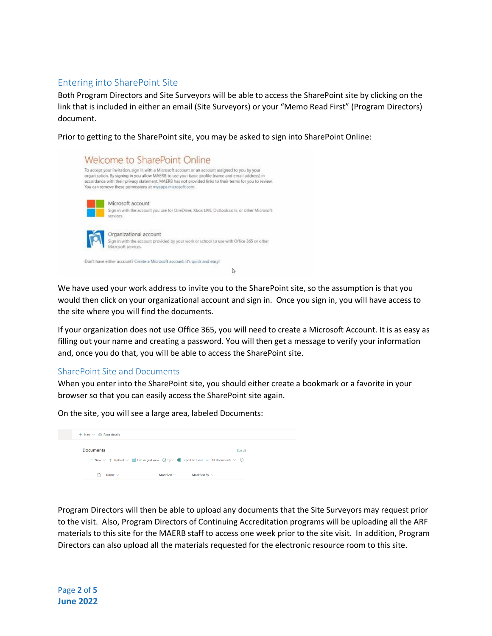# Entering into SharePoint Site

Both Program Directors and Site Surveyors will be able to access the SharePoint site by clicking on the link that is included in either an email (Site Surveyors) or your "Memo Read First" (Program Directors) document.

Prior to getting to the SharePoint site, you may be asked to sign into SharePoint Online:



We have used your work address to invite you to the SharePoint site, so the assumption is that you would then click on your organizational account and sign in. Once you sign in, you will have access to the site where you will find the documents.

If your organization does not use Office 365, you will need to create a Microsoft Account. It is as easy as filling out your name and creating a password. You will then get a message to verify your information and, once you do that, you will be able to access the SharePoint site.

#### SharePoint Site and Documents

When you enter into the SharePoint site, you should either create a bookmark or a favorite in your browser so that you can easily access the SharePoint site again.

On the site, you will see a large area, labeled Documents:

| $+$ New $\times$ $\circledR$ Page details |                                                                                                                                                 |         |
|-------------------------------------------|-------------------------------------------------------------------------------------------------------------------------------------------------|---------|
| <b>Documents</b>                          |                                                                                                                                                 | See all |
|                                           | $+$ New $\vee$ $\bar{\uparrow}$ Upload $\vee$ $\boxplus$ Edit in grid view $\;$ G Sync $\;$ E Export to Excel $\;\equiv$ All Documents $\vee$ 0 |         |
| Name $\vee$                               | Modified $\vee$<br>Modified Bv $\vee$                                                                                                           |         |
|                                           |                                                                                                                                                 |         |

Program Directors will then be able to upload any documents that the Site Surveyors may request prior to the visit. Also, Program Directors of Continuing Accreditation programs will be uploading all the ARF materials to this site for the MAERB staff to access one week prior to the site visit. In addition, Program Directors can also upload all the materials requested for the electronic resource room to this site.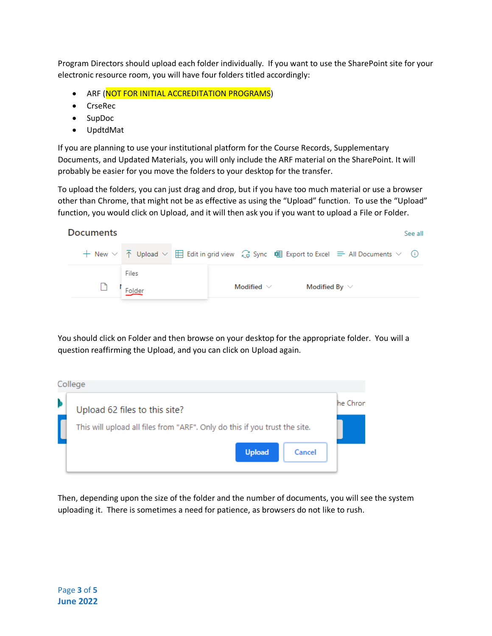Program Directors should upload each folder individually. If you want to use the SharePoint site for your electronic resource room, you will have four folders titled accordingly:

- ARF (NOT FOR INITIAL ACCREDITATION PROGRAMS)
- CrseRec
- SupDoc
- UpdtdMat

If you are planning to use your institutional platform for the Course Records, Supplementary Documents, and Updated Materials, you will only include the ARF material on the SharePoint. It will probably be easier for you move the folders to your desktop for the transfer.

To upload the folders, you can just drag and drop, but if you have too much material or use a browser other than Chrome, that might not be as effective as using the "Upload" function. To use the "Upload" function, you would click on Upload, and it will then ask you if you want to upload a File or Folder.

| <b>Documents</b> |                 |                                                                                                                                          |                 |  |                    |  | See all |
|------------------|-----------------|------------------------------------------------------------------------------------------------------------------------------------------|-----------------|--|--------------------|--|---------|
|                  |                 | + New $\vee$ ↑ Upload $\vee$ $\boxplus$ Edit in grid view $\mathbb G$ Sync $\mathbb H$ Export to Excel $\implies$ All Documents $\vee$ ① |                 |  |                    |  |         |
|                  | Files<br>Folder |                                                                                                                                          | Modified $\vee$ |  | Modified By $\vee$ |  |         |
|                  |                 |                                                                                                                                          |                 |  |                    |  |         |

You should click on Folder and then browse on your desktop for the appropriate folder. You will a question reaffirming the Upload, and you can click on Upload again.

| College                                                                    |          |
|----------------------------------------------------------------------------|----------|
| Upload 62 files to this site?                                              | he Chron |
| This will upload all files from "ARF". Only do this if you trust the site. |          |
| <b>Upload</b><br>Cancel                                                    |          |

Then, depending upon the size of the folder and the number of documents, you will see the system uploading it. There is sometimes a need for patience, as browsers do not like to rush.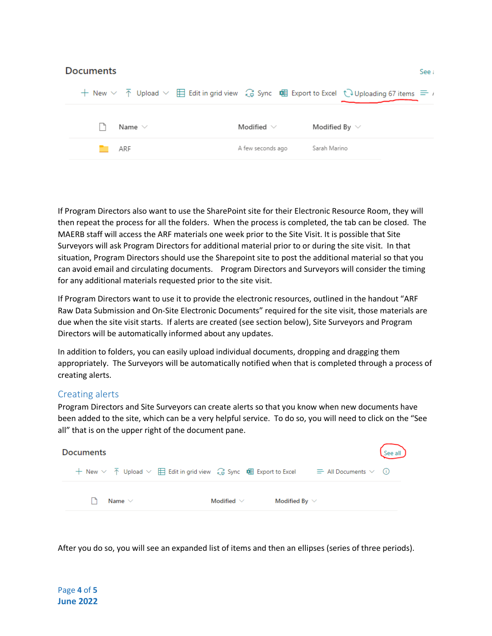| <b>Documents</b> |                   | See a                                                                                                                                                                                        |
|------------------|-------------------|----------------------------------------------------------------------------------------------------------------------------------------------------------------------------------------------|
|                  |                   | + New $\vee$ $\bar{\uparrow}$ Upload $\vee$ $\bar{\boxplus}$ Edit in grid view $\hat{\mathbb{G}}$ Sync $\bar{\boxplus}$ Export to Excel $\hat{\mathbb{Q}}$ Uploading 67 items $\equiv \iota$ |
| Name $\vee$      | Modified $\vee$   | Modified By $\vee$                                                                                                                                                                           |
| ARF              | A few seconds ago | Sarah Marino                                                                                                                                                                                 |
|                  |                   |                                                                                                                                                                                              |

If Program Directors also want to use the SharePoint site for their Electronic Resource Room, they will then repeat the process for all the folders. When the process is completed, the tab can be closed. The MAERB staff will access the ARF materials one week prior to the Site Visit. It is possible that Site Surveyors will ask Program Directors for additional material prior to or during the site visit. In that situation, Program Directors should use the Sharepoint site to post the additional material so that you can avoid email and circulating documents. Program Directors and Surveyors will consider the timing for any additional materials requested prior to the site visit.

If Program Directors want to use it to provide the electronic resources, outlined in the handout "ARF Raw Data Submission and On-Site Electronic Documents" required for the site visit, those materials are due when the site visit starts. If alerts are created (see section below), Site Surveyors and Program Directors will be automatically informed about any updates.

In addition to folders, you can easily upload individual documents, dropping and dragging them appropriately. The Surveyors will be automatically notified when that is completed through a process of creating alerts.

## Creating alerts

Program Directors and Site Surveyors can create alerts so that you know when new documents have been added to the site, which can be a very helpful service. To do so, you will need to click on the "See all" that is on the upper right of the document pane.



After you do so, you will see an expanded list of items and then an ellipses (series of three periods).